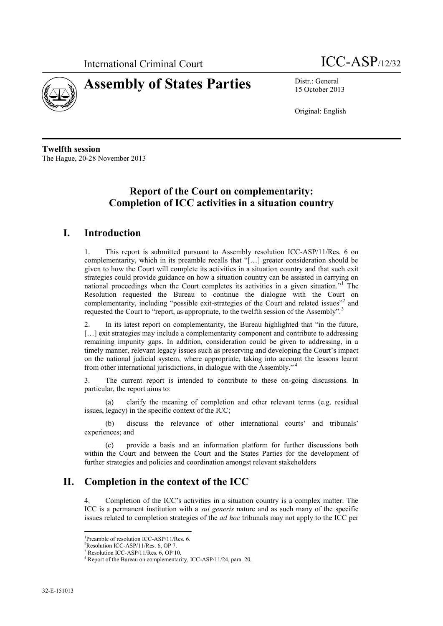



15 October 2013

Original: English

**Twelfth session** The Hague, 20-28 November 2013

# **Report of the Court on complementarity: Completion of ICC activities in a situation country**

## **I. Introduction**

1. This report is submitted pursuant to Assembly resolution ICC-ASP/11/Res. 6 on complementarity, which in its preamble recalls that "[…] greater consideration should be given to how the Court will complete its activities in a situation country and that such exit strategies could provide guidance on how a situation country can be assisted in carrying on national proceedings when the Court completes its activities in a given situation."<sup>1</sup> The Resolution requested the Bureau to continue the dialogue with the Court on complementarity, including "possible exit-strategies of the Court and related issues"<sup>2</sup> and requested the Court to "report, as appropriate, to the twelfth session of the Assembly".<sup>3</sup>

2. In its latest report on complementarity, the Bureau highlighted that "in the future, [...] exit strategies may include a complementarity component and contribute to addressing remaining impunity gaps. In addition, consideration could be given to addressing, in a timely manner, relevant legacy issues such as preserving and developing the Court's impact on the national judicial system, where appropriate, taking into account the lessons learnt from other international jurisdictions, in dialogue with the Assembly." <sup>4</sup>

3. The current report is intended to contribute to these on-going discussions. In particular, the report aims to:

(a) clarify the meaning of completion and other relevant terms (e.g. residual issues, legacy) in the specific context of the ICC;

(b) discuss the relevance of other international courts' and tribunals' experiences; and

(c) provide a basis and an information platform for further discussions both within the Court and between the Court and the States Parties for the development of further strategies and policies and coordination amongst relevant stakeholders

# **II. Completion in the context of the ICC**

4. Completion of the ICC's activities in a situation country is a complex matter. The ICC is a permanent institution with a *sui generis* nature and as such many of the specific issues related to completion strategies of the *ad hoc* tribunals may not apply to the ICC per

<sup>1</sup> Preamble of resolution ICC-ASP/11/Res. 6.

<sup>&</sup>lt;sup>2</sup>Resolution ICC-ASP/11/Res. 6, OP 7.

<sup>&</sup>lt;sup>3</sup> Resolution ICC-ASP/11/Res. 6, OP 10.

<sup>4</sup> Report of the Bureau on complementarity, ICC-ASP/11/24, para. 20.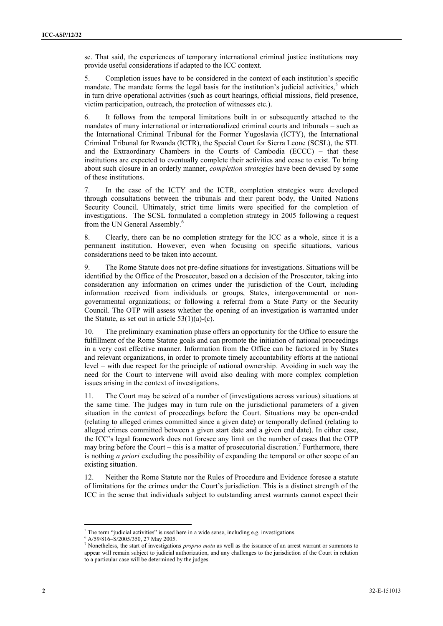se. That said, the experiences of temporary international criminal justice institutions may provide useful considerations if adapted to the ICC context.

5. Completion issues have to be considered in the context of each institution's specific mandate. The mandate forms the legal basis for the institution's judicial activities,  $5$  which in turn drive operational activities (such as court hearings, official missions, field presence, victim participation, outreach, the protection of witnesses etc.).

6. It follows from the temporal limitations built in or subsequently attached to the mandates of many international or internationalized criminal courts and tribunals – such as the International Criminal Tribunal for the Former Yugoslavia (ICTY), the International Criminal Tribunal for Rwanda (ICTR), the Special Court for Sierra Leone (SCSL), the STL and the Extraordinary Chambers in the Courts of Cambodia (ECCC) – that these institutions are expected to eventually complete their activities and cease to exist. To bring about such closure in an orderly manner, *completion strategies* have been devised by some of these institutions.

7. In the case of the ICTY and the ICTR, completion strategies were developed through consultations between the tribunals and their parent body, the United Nations Security Council. Ultimately, strict time limits were specified for the completion of investigations. The SCSL formulated a completion strategy in 2005 following a request from the UN General Assembly.<sup>6</sup>

8. Clearly, there can be no completion strategy for the ICC as a whole, since it is a permanent institution. However, even when focusing on specific situations, various considerations need to be taken into account.

9. The Rome Statute does not pre-define situations for investigations. Situations will be identified by the Office of the Prosecutor, based on a decision of the Prosecutor, taking into consideration any information on crimes under the jurisdiction of the Court, including information received from individuals or groups, States, intergovernmental or nongovernmental organizations; or following a referral from a State Party or the Security Council. The OTP will assess whether the opening of an investigation is warranted under the Statute, as set out in article  $53(1)(a)-(c)$ .

10. The preliminary examination phase offers an opportunity for the Office to ensure the fulfillment of the Rome Statute goals and can promote the initiation of national proceedings in a very cost effective manner. Information from the Office can be factored in by States and relevant organizations, in order to promote timely accountability efforts at the national level – with due respect for the principle of national ownership. Avoiding in such way the need for the Court to intervene will avoid also dealing with more complex completion issues arising in the context of investigations.

11. The Court may be seized of a number of (investigations across various) situations at the same time. The judges may in turn rule on the jurisdictional parameters of a given situation in the context of proceedings before the Court. Situations may be open-ended (relating to alleged crimes committed since a given date) or temporally defined (relating to alleged crimes committed between a given start date and a given end date). In either case, the ICC's legal framework does not foresee any limit on the number of cases that the OTP may bring before the Court – this is a matter of prosecutorial discretion.<sup>7</sup> Furthermore, there is nothing *a priori* excluding the possibility of expanding the temporal or other scope of an existing situation.

12. Neither the Rome Statute nor the Rules of Procedure and Evidence foresee a statute of limitations for the crimes under the Court's jurisdiction. This is a distinct strength of the ICC in the sense that individuals subject to outstanding arrest warrants cannot expect their

 $<sup>5</sup>$  The term "judicial activities" is used here in a wide sense, including e.g. investigations.</sup>

<sup>6</sup> A/59/816–S/2005/350, 27 May 2005.

<sup>7</sup> Nonetheless, the start of investigations *proprio motu* as well as the issuance of an arrest warrant or summons to appear will remain subject to judicial authorization, and any challenges to the jurisdiction of the Court in relation to a particular case will be determined by the judges.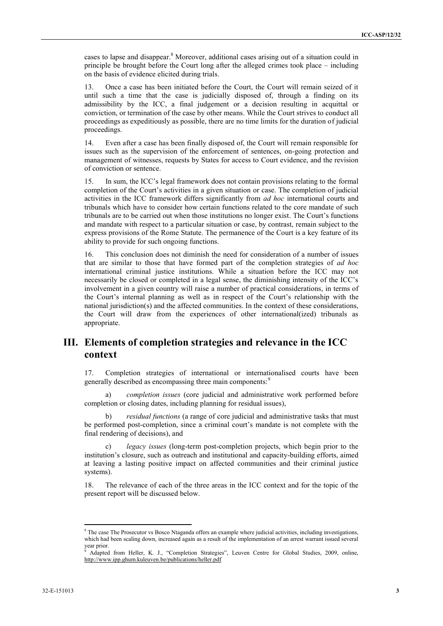cases to lapse and disappear.<sup>8</sup> Moreover, additional cases arising out of a situation could in principle be brought before the Court long after the alleged crimes took place – including on the basis of evidence elicited during trials.

13. Once a case has been initiated before the Court, the Court will remain seized of it until such a time that the case is judicially disposed of, through a finding on its admissibility by the ICC, a final judgement or a decision resulting in acquittal or conviction, or termination of the case by other means. While the Court strives to conduct all proceedings as expeditiously as possible, there are no time limits for the duration of judicial proceedings.

14. Even after a case has been finally disposed of, the Court will remain responsible for issues such as the supervision of the enforcement of sentences, on-going protection and management of witnesses, requests by States for access to Court evidence, and the revision of conviction or sentence.

15. In sum, the ICC's legal framework does not contain provisions relating to the formal completion of the Court's activities in a given situation or case. The completion of judicial activities in the ICC framework differs significantly from *ad hoc* international courts and tribunals which have to consider how certain functions related to the core mandate of such tribunals are to be carried out when those institutions no longer exist. The Court's functions and mandate with respect to a particular situation or case, by contrast, remain subject to the express provisions of the Rome Statute. The permanence of the Court is a key feature of its ability to provide for such ongoing functions.

16. This conclusion does not diminish the need for consideration of a number of issues that are similar to those that have formed part of the completion strategies of *ad hoc* international criminal justice institutions. While a situation before the ICC may not necessarily be closed or completed in a legal sense, the diminishing intensity of the ICC's involvement in a given country will raise a number of practical considerations, in terms of the Court's internal planning as well as in respect of the Court's relationship with the national jurisdiction(s) and the affected communities. In the context of these considerations, the Court will draw from the experiences of other international(ized) tribunals as appropriate.

## **III. Elements of completion strategies and relevance in the ICC context**

17. Completion strategies of international or internationalised courts have been generally described as encompassing three main components:<sup>9</sup>

a) *completion issues* (core judicial and administrative work performed before completion or closing dates, including planning for residual issues),

*residual functions* (a range of core judicial and administrative tasks that must be performed post-completion, since a criminal court's mandate is not complete with the final rendering of decisions), and

*legacy issues* (long-term post-completion projects, which begin prior to the institution's closure, such as outreach and institutional and capacity-building efforts, aimed at leaving a lasting positive impact on affected communities and their criminal justice systems).

18. The relevance of each of the three areas in the ICC context and for the topic of the present report will be discussed below.

<sup>8</sup> The case The Prosecutor vs Bosco Ntaganda offers an example where judicial activities, including investigations, which had been scaling down, increased again as a result of the implementation of an arrest warrant issued several year prior.

<sup>9</sup> Adapted from Heller, K. J., "Completion Strategies", Leuven Centre for Global Studies, 2009, online, <http://www.ipp.ghum.kuleuven.be/publications/heller.pdf>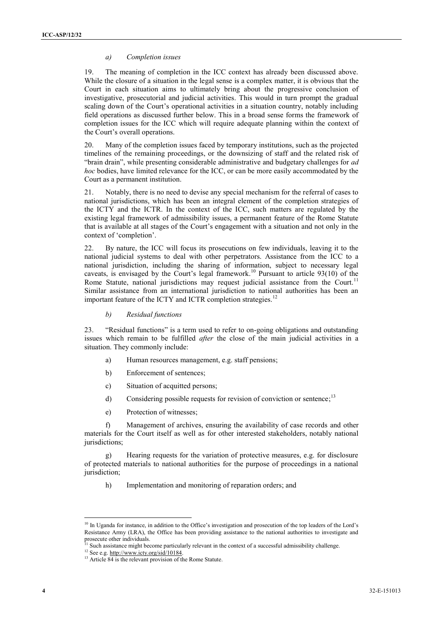#### *a) Completion issues*

19. The meaning of completion in the ICC context has already been discussed above. While the closure of a situation in the legal sense is a complex matter, it is obvious that the Court in each situation aims to ultimately bring about the progressive conclusion of investigative, prosecutorial and judicial activities. This would in turn prompt the gradual scaling down of the Court's operational activities in a situation country, notably including field operations as discussed further below. This in a broad sense forms the framework of completion issues for the ICC which will require adequate planning within the context of the Court's overall operations.

20. Many of the completion issues faced by temporary institutions, such as the projected timelines of the remaining proceedings, or the downsizing of staff and the related risk of "brain drain", while presenting considerable administrative and budgetary challenges for *ad hoc* bodies, have limited relevance for the ICC, or can be more easily accommodated by the Court as a permanent institution.

21. Notably, there is no need to devise any special mechanism for the referral of cases to national jurisdictions, which has been an integral element of the completion strategies of the ICTY and the ICTR. In the context of the ICC, such matters are regulated by the existing legal framework of admissibility issues, a permanent feature of the Rome Statute that is available at all stages of the Court's engagement with a situation and not only in the context of 'completion'.

22. By nature, the ICC will focus its prosecutions on few individuals, leaving it to the national judicial systems to deal with other perpetrators. Assistance from the ICC to a national jurisdiction, including the sharing of information, subject to necessary legal caveats, is envisaged by the Court's legal framework. <sup>10</sup> Pursuant to article 93(10) of the Rome Statute, national jurisdictions may request judicial assistance from the Court.<sup>11</sup> Similar assistance from an international jurisdiction to national authorities has been an important feature of the ICTY and ICTR completion strategies.<sup>12</sup>

*b) Residual functions*

23. "Residual functions" is a term used to refer to on-going obligations and outstanding issues which remain to be fulfilled *after* the close of the main judicial activities in a situation. They commonly include:

- a) Human resources management, e.g. staff pensions;
- b) Enforcement of sentences;
- c) Situation of acquitted persons;
- d) Considering possible requests for revision of conviction or sentence;<sup>13</sup>
- e) Protection of witnesses;

f) Management of archives, ensuring the availability of case records and other materials for the Court itself as well as for other interested stakeholders, notably national jurisdictions;

g) Hearing requests for the variation of protective measures, e.g. for disclosure of protected materials to national authorities for the purpose of proceedings in a national jurisdiction;

h) Implementation and monitoring of reparation orders; and

<sup>&</sup>lt;sup>10</sup> In Uganda for instance, in addition to the Office's investigation and prosecution of the top leaders of the Lord's Resistance Army (LRA), the Office has been providing assistance to the national authorities to investigate and prosecute other individuals.

Such assistance might become particularly relevant in the context of a successful admissibility challenge.

 $12$  See e.g[. http://www.icty.org/sid/10184.](http://www.icty.org/sid/10184)

 $13$  Article 84 is the relevant provision of the Rome Statute.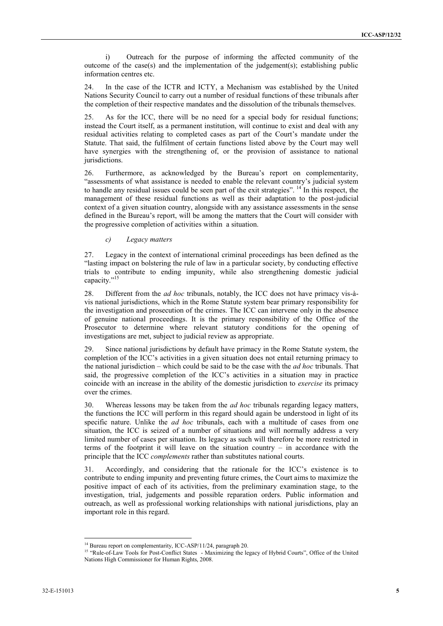i) Outreach for the purpose of informing the affected community of the outcome of the case(s) and the implementation of the judgement(s); establishing public information centres etc.

24. In the case of the ICTR and ICTY, a Mechanism was established by the United Nations Security Council to carry out a number of residual functions of these tribunals after the completion of their respective mandates and the dissolution of the tribunals themselves.

25. As for the ICC, there will be no need for a special body for residual functions; instead the Court itself, as a permanent institution, will continue to exist and deal with any residual activities relating to completed cases as part of the Court's mandate under the Statute. That said, the fulfilment of certain functions listed above by the Court may well have synergies with the strengthening of, or the provision of assistance to national jurisdictions.

26. Furthermore, as acknowledged by the Bureau's report on complementarity, "assessments of what assistance is needed to enable the relevant country's judicial system to handle any residual issues could be seen part of the exit strategies".  $14$  In this respect, the management of these residual functions as well as their adaptation to the post-judicial context of a given situation country, alongside with any assistance assessments in the sense defined in the Bureau's report, will be among the matters that the Court will consider with the progressive completion of activities within a situation.

*c) Legacy matters*

27. Legacy in the context of international criminal proceedings has been defined as the "lasting impact on bolstering the rule of law in a particular society, by conducting effective trials to contribute to ending impunity, while also strengthening domestic judicial capacity."<sup>15</sup>

28. Different from the *ad hoc* tribunals, notably, the ICC does not have primacy vis-àvis national jurisdictions, which in the Rome Statute system bear primary responsibility for the investigation and prosecution of the crimes. The ICC can intervene only in the absence of genuine national proceedings. It is the primary responsibility of the Office of the Prosecutor to determine where relevant statutory conditions for the opening of investigations are met, subject to judicial review as appropriate.

29. Since national jurisdictions by default have primacy in the Rome Statute system, the completion of the ICC's activities in a given situation does not entail returning primacy to the national jurisdiction – which could be said to be the case with the *ad hoc* tribunals. That said, the progressive completion of the ICC's activities in a situation may in practice coincide with an increase in the ability of the domestic jurisdiction to *exercise* its primacy over the crimes.

30. Whereas lessons may be taken from the *ad hoc* tribunals regarding legacy matters, the functions the ICC will perform in this regard should again be understood in light of its specific nature. Unlike the *ad hoc* tribunals, each with a multitude of cases from one situation, the ICC is seized of a number of situations and will normally address a very limited number of cases per situation. Its legacy as such will therefore be more restricted in terms of the footprint it will leave on the situation country  $-$  in accordance with the principle that the ICC *complements* rather than substitutes national courts.

31. Accordingly, and considering that the rationale for the ICC's existence is to contribute to ending impunity and preventing future crimes, the Court aims to maximize the positive impact of each of its activities, from the preliminary examination stage, to the investigation, trial, judgements and possible reparation orders. Public information and outreach, as well as professional working relationships with national jurisdictions, play an important role in this regard.

<sup>&</sup>lt;sup>14</sup> Bureau report on complementarity, ICC-ASP/11/24, paragraph 20.

<sup>&</sup>lt;sup>15</sup> "Rule-of-Law Tools for Post-Conflict States - Maximizing the legacy of Hybrid Courts", Office of the United Nations High Commissioner for Human Rights, 2008.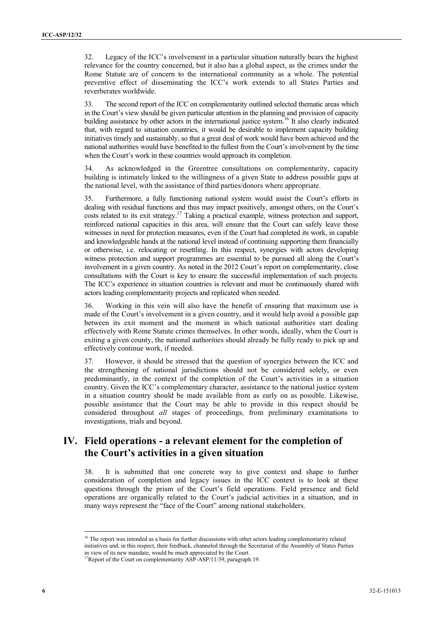32. Legacy of the ICC's involvement in a particular situation naturally bears the highest relevance for the country concerned, but it also has a global aspect, as the crimes under the Rome Statute are of concern to the international community as a whole. The potential preventive effect of disseminating the ICC's work extends to all States Parties and reverberates worldwide.

33. The second report of the ICC on complementarity outlined selected thematic areas which in the Court's view should be given particular attention in the planning and provision of capacity building assistance by other actors in the international justice system.<sup>16</sup> It also clearly indicated that, with regard to situation countries, it would be desirable to implement capacity building initiatives timely and sustainably, so that a great deal of work would have been achieved and the national authorities would have benefited to the fullest from the Court's involvement by the time when the Court's work in these countries would approach its completion.

34. As acknowledged in the Greentree consultations on complementarity, capacity building is intimately linked to the willingness of a given State to address possible gaps at the national level, with the assistance of third parties/donors where appropriate.

35. Furthermore, a fully functioning national system would assist the Court's efforts in dealing with residual functions and thus may impact positively, amongst others, on the Court's costs related to its exit strategy.<sup>17</sup> Taking a practical example, witness protection and support, reinforced national capacities in this area, will ensure that the Court can safely leave those witnesses in need for protection measures, even if the Court had completed its work, in capable and knowledgeable hands at the national level instead of continuing supporting them financially or otherwise, i.e. relocating or resettling. In this respect, synergies with actors developing witness protection and support programmes are essential to be pursued all along the Court's involvement in a given country. As noted in the 2012 Court's report on complementarity, close consultations with the Court is key to ensure the successful implementation of such projects. The ICC's experience in situation countries is relevant and must be continuously shared with actors leading complementarity projects and replicated when needed.

36. Working in this vein will also have the benefit of ensuring that maximum use is made of the Court's involvement in a given country, and it would help avoid a possible gap between its exit moment and the moment in which national authorities start dealing effectively with Rome Statute crimes themselves. In other words, ideally, when the Court is exiting a given county, the national authorities should already be fully ready to pick up and effectively continue work, if needed.

37. However, it should be stressed that the question of synergies between the ICC and the strengthening of national jurisdictions should not be considered solely, or even predominantly, in the context of the completion of the Court's activities in a situation country. Given the ICC's complementary character, assistance to the national justice system in a situation country should be made available from as early on as possible. Likewise, possible assistance that the Court may be able to provide in this respect should be considered throughout *all* stages of proceedings, from preliminary examinations to investigations, trials and beyond.

## **IV. Field operations - a relevant element for the completion of the Court's activities in a given situation**

38. It is submitted that one concrete way to give context and shape to further consideration of completion and legacy issues in the ICC context is to look at these questions through the prism of the Court's field operations. Field presence and field operations are organically related to the Court's judicial activities in a situation, and in many ways represent the "face of the Court" among national stakeholders.

<sup>&</sup>lt;sup>16</sup> The report was intended as a basis for further discussions with other actors leading complementarity related initiatives and, in this respect, their feedback, channeled through the Secretariat of the Assembly of States Parties in view of its new mandate, would be much appreciated by the Court.

<sup>&</sup>lt;sup>17</sup>Report of the Court on complementarity  $\overrightarrow{ASP} - \overrightarrow{ASP}/11/39$ , paragraph 19.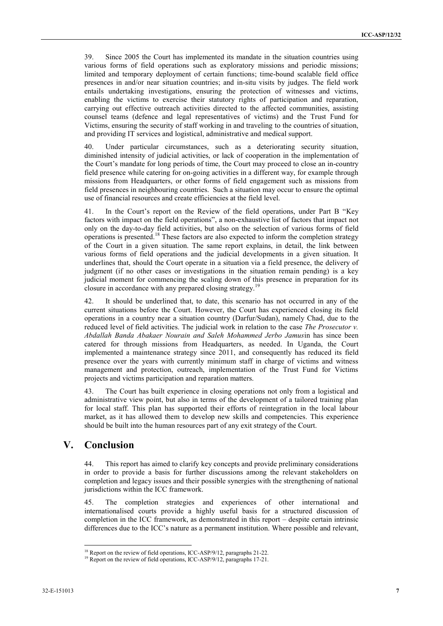39. Since 2005 the Court has implemented its mandate in the situation countries using various forms of field operations such as exploratory missions and periodic missions; limited and temporary deployment of certain functions; time-bound scalable field office presences in and/or near situation countries; and in-situ visits by judges. The field work entails undertaking investigations, ensuring the protection of witnesses and victims, enabling the victims to exercise their statutory rights of participation and reparation, carrying out effective outreach activities directed to the affected communities, assisting counsel teams (defence and legal representatives of victims) and the Trust Fund for Victims, ensuring the security of staff working in and traveling to the countries of situation, and providing IT services and logistical, administrative and medical support.

40. Under particular circumstances, such as a deteriorating security situation, diminished intensity of judicial activities, or lack of cooperation in the implementation of the Court's mandate for long periods of time, the Court may proceed to close an in-country field presence while catering for on-going activities in a different way, for example through missions from Headquarters, or other forms of field engagement such as missions from field presences in neighbouring countries. Such a situation may occur to ensure the optimal use of financial resources and create efficiencies at the field level.

41. In the Court's report on the Review of the field operations, under Part B "Key factors with impact on the field operations", a non-exhaustive list of factors that impact not only on the day-to-day field activities, but also on the selection of various forms of field operations is presented.<sup>18</sup> These factors are also expected to inform the completion strategy of the Court in a given situation. The same report explains, in detail, the link between various forms of field operations and the judicial developments in a given situation. It underlines that, should the Court operate in a situation via a field presence, the delivery of judgment (if no other cases or investigations in the situation remain pending) is a key judicial moment for commencing the scaling down of this presence in preparation for its closure in accordance with any prepared closing strategy.<sup>19</sup>

42. It should be underlined that, to date, this scenario has not occurred in any of the current situations before the Court. However, the Court has experienced closing its field operations in a country near a situation country (Darfur/Sudan), namely Chad, due to the reduced level of field activities. The judicial work in relation to the case *The Prosecutor v. Abdallah Banda Abakaer Nourain and Saleh Mohammed Jerbo Jamus*in has since been catered for through missions from Headquarters, as needed. In Uganda, the Court implemented a maintenance strategy since 2011, and consequently has reduced its field presence over the years with currently minimum staff in charge of victims and witness management and protection, outreach, implementation of the Trust Fund for Victims projects and victims participation and reparation matters.

43. The Court has built experience in closing operations not only from a logistical and administrative view point, but also in terms of the development of a tailored training plan for local staff. This plan has supported their efforts of reintegration in the local labour market, as it has allowed them to develop new skills and competencies. This experience should be built into the human resources part of any exit strategy of the Court.

#### **V. Conclusion**

 $\overline{a}$ 

44. This report has aimed to clarify key concepts and provide preliminary considerations in order to provide a basis for further discussions among the relevant stakeholders on completion and legacy issues and their possible synergies with the strengthening of national jurisdictions within the ICC framework.

45. The completion strategies and experiences of other international and internationalised courts provide a highly useful basis for a structured discussion of completion in the ICC framework, as demonstrated in this report – despite certain intrinsic differences due to the ICC's nature as a permanent institution. Where possible and relevant,

<sup>&</sup>lt;sup>18</sup> Report on the review of field operations, ICC-ASP/9/12, paragraphs 21-22.

 $19$  Report on the review of field operations, ICC-ASP/9/12, paragraphs 17-21.